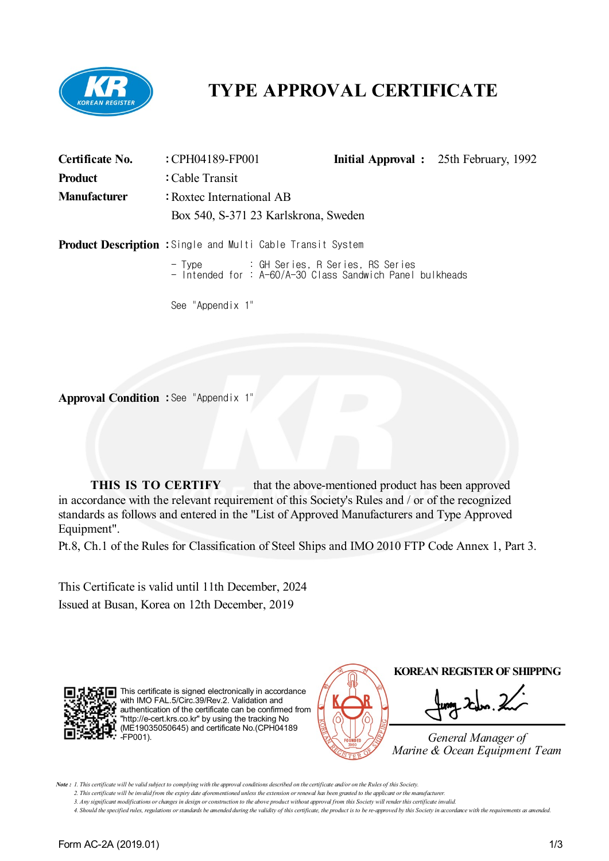

# **TYPE APPROVAL CERTIFICATE**

| Certificate No.     | : CPH04189-FP001                                                   |  | <b>Initial Approval</b> : 25th February, 1992 |  |
|---------------------|--------------------------------------------------------------------|--|-----------------------------------------------|--|
| <b>Product</b>      | : Cable Transit                                                    |  |                                               |  |
| <b>Manufacturer</b> | : Roxtec International AB                                          |  |                                               |  |
|                     | Box 540, S-371 23 Karlskrona, Sweden                               |  |                                               |  |
|                     | <b>Product Description :</b> Single and Multi Cable Transit System |  |                                               |  |
|                     |                                                                    |  |                                               |  |
|                     |                                                                    |  |                                               |  |

See "Appendix 1"

**Approval Condition :** See "Appendix 1"

**THIS IS TO CERTIFY** that the above-mentioned product has been approved in accordance with the relevant requirement of this Society's Rules and / or of the recognized standards as follows and entered in the "List of Approved Manufacturers and Type Approved Equipment".

Pt.8, Ch.1 of the Rules for Classification of Steel Ships and IMO 2010 FTP Code Annex 1, Part 3.

This Certificate is valid until 11th December, 2024 Issued at Busan, Korea on 12th December, 2019



This certificate is signed electronically in accordance with IMO FAL.5/Circ.39/Rev.2. Validation and authentication of the certificate can be confirmed from "http://e-cert.krs.co.kr" by using the tracking No (ME19035050645) and certificate No.(CPH04189 -FP001).



Note: 1. This certificate will be valid subject to complying with the approval conditions described on the certificate and/or on the Rules of this Society.

2. This certificate will be invalid from the expiry date aforementioned unless the extension or renewal has been granted to the applicant or the manufacturer. 3. Any significant modifications or changes in design or construction to the above product without approval from this Society will render this certificate invalid.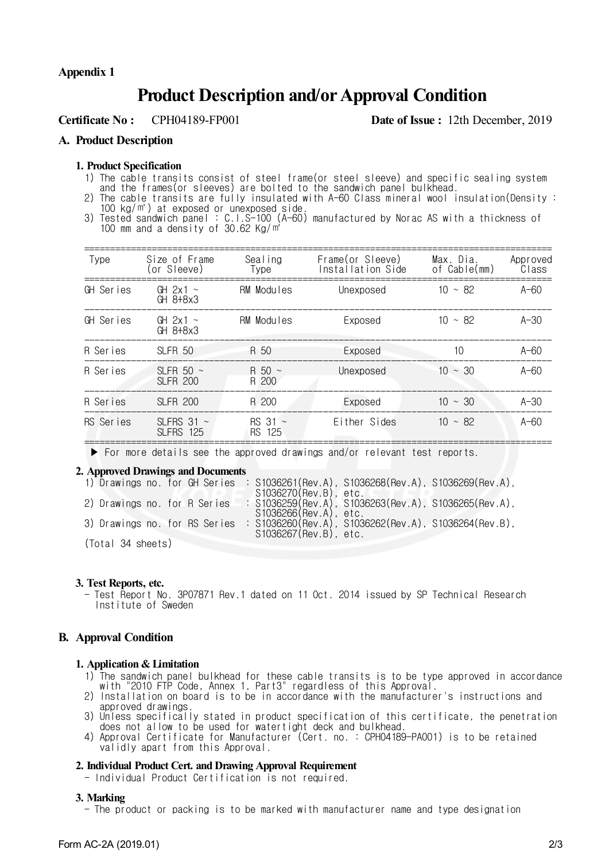#### **Appendix 1**

## **Product Description and/orApproval Condition**

**Certificate No :** CPH04189-FP001 **Date of Issue :** 12th December, 2019

#### **A. Product Description**

#### **1. Product Specification**

1) The cable transits consist of steel frame(or steel sleeve) and specific sealing system

and the frames(or sleeves) are bolted to the sandwich panel bulkhead.

- 2) The cable transits are fully insulated with A-60 Class mineral wool insulation(Density : 100 kg/㎥) at exposed or unexposed side.
- 3) Tested sandwich panel : C.I.S-100 (A-60) manufactured by Norac AS with a thickness of 100 mm and a density of 30.62 Kg/㎥

| Type      | Size of Frame<br>(or Sleeve)        | Sealing<br>Type                 | Frame(or Sleeve)<br>Installation Side | Max. Dia.<br>of Cable(mm) | Approved<br>Class |
|-----------|-------------------------------------|---------------------------------|---------------------------------------|---------------------------|-------------------|
| GH Series | GH $2x1 \sim$<br>$GH$ $8+8\times3$  | RM Modules                      | Unexposed                             | $10 \sim 82$              | $A-60$            |
| GH Series | GH $2x1 \sim$<br>$GH$ $8+8\times3$  | <b>RM Modules</b>               | Exposed                               | $10 \sim 82$              | $A-30$            |
| R Series  | SLFR <sub>50</sub>                  | R 50                            | Exposed                               | 10                        | $A-60$            |
| R Series  | SLFR 50 $\sim$<br><b>SLFR 200</b>   | $R_{50}$ ~<br>R 200             | Unexposed                             | $10 \sim 30$              | $A-60$            |
| R Series  | <b>SLFR 200</b>                     | R 200                           | Exposed                               | $10 \sim 30$              | $A-30$            |
| RS Series | SLFRS 31 $\sim$<br><b>SLFRS 125</b> | $RS$ 31 $\sim$<br><b>RS 125</b> | Either Sides                          | $10 \sim 82$              | $A-60$            |
|           |                                     |                                 |                                       |                           |                   |

▶ For more details see the approved drawings and/or relevant test reports.

#### **2. Approved Drawings and Documents**

|                       |  |  |  |                               |  |                       | 1) Drawings no. for GH Series : S1036261(Rev.A), S1036268(Rev.A), S1036269(Rev.A), |  |
|-----------------------|--|--|--|-------------------------------|--|-----------------------|------------------------------------------------------------------------------------|--|
|                       |  |  |  |                               |  | S1036270(Rev.B), etc. |                                                                                    |  |
|                       |  |  |  | 2) Drawings no. for R Series  |  |                       | : S1036259(Rev.A), S1036263(Rev.A), S1036265(Rev.A),                               |  |
|                       |  |  |  |                               |  | S1036266(Rev.A), etc. |                                                                                    |  |
|                       |  |  |  | 3) Drawings no. for RS Series |  |                       | : S1036260(Rev.A), S1036262(Rev.A), S1036264(Rev.B),                               |  |
| S1036267(Rev.B), etc. |  |  |  |                               |  |                       |                                                                                    |  |
| (Total 34 sheets)     |  |  |  |                               |  |                       |                                                                                    |  |

#### **3. Test Reports, etc.**

- Test Report No. 3P07871 Rev.1 dated on 11 Oct. 2014 issued by SP Technical Research Institute of Sweden

#### **B. Approval Condition**

#### **1. Application & Limitation**

- 1) The sandwich panel bulkhead for these cable transits is to be type approved in accordance with "2010 FTP Code, Annex 1, Part3" regardless of this Approval.
- 2) Installation on board is to be in accordance with the manufacturer's instructions and approved drawings.
- 3) Unless specifically stated in product specification of this certificate, the penetration does not allow to be used for watertight deck and bulkhead.
- 4) Approval Certificate for Manufacturer (Cert. no. : CPH04189-PA001) is to be retained validly apart from this Approval.

#### **2. Individual Product Cert. and Drawing Approval Requirement**

- Individual Product Certification is not required.

#### **3. Marking**

- The product or packing is to be marked with manufacturer name and type designation